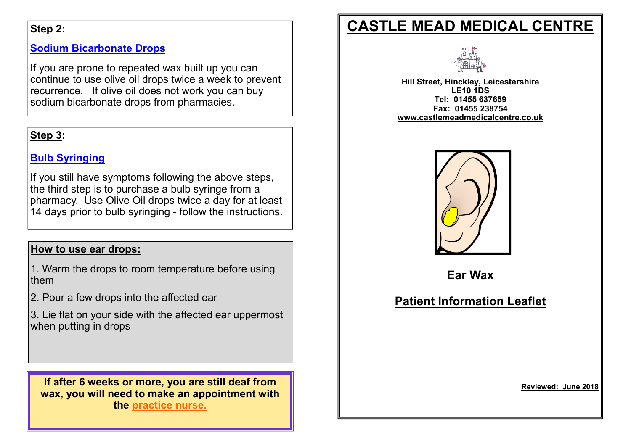### Step 2:

### Sodium Bicarbonate Drops

If you are prone to repeated wax built up you can continue to use olive oil drops twice a week to prevent recurrence. If olive oil does not work you can buy sodium bicarbonate drops from pharmacies.

### Step 3:

### Bulb Syringing

If you still have symptoms following the above steps, the third step is to purchase a bulb syringe from a pharmacy. Use Olive Oil drops twice a day for at least 14 days prior to bulb syringing - follow the instructions.

### How to use ear drops:

1. Warm the drops to room temperature before using them

2. Pour a few drops into the affected ear

3. Lie flat on your side with the affected ear uppermost when putting in drops

If after 6 weeks or more, you are still deaf from wax, you will need to make an appointment with the practice nurse.

# CASTLE MEAD MEDICAL CENTRE



Hill Street, Hinckley, Leicestershire LE10 1DS Tel: 01455 637659 Fax: 01455 238754 www.castlemeadmedicalcentre.co.uk



Ear Wax

# Patient Information Leaflet

Reviewed: June 2018